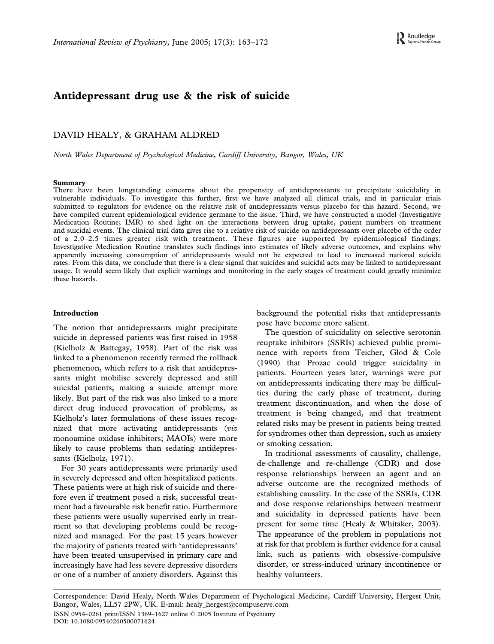# Antidepressant drug use & the risk of suicide

## DAVID HEALY, & GRAHAM ALDRED

North Wales Department of Psychological Medicine, Cardiff University, Bangor, Wales, UK

#### Summary

There have been longstanding concerns about the propensity of antidepressants to precipitate suicidality in vulnerable individuals. To investigate this further, first we have analyzed all clinical trials, and in particular trials submitted to regulators for evidence on the relative risk of antidepressants versus placebo for this hazard. Second, we have compiled current epidemiological evidence germane to the issue. Third, we have constructed a model (Investigative Medication Routine; IMR) to shed light on the interactions between drug uptake, patient numbers on treatment and suicidal events. The clinical trial data gives rise to a relative risk of suicide on antidepressants over placebo of the order of a 2.0–2.5 times greater risk with treatment. These figures are supported by epidemiological findings. Investigative Medication Routine translates such findings into estimates of likely adverse outcomes, and explains why apparently increasing consumption of antidepressants would not be expected to lead to increased national suicide rates. From this data, we conclude that there is a clear signal that suicides and suicidal acts may be linked to antidepressant usage. It would seem likely that explicit warnings and monitoring in the early stages of treatment could greatly minimize these hazards.

#### Introduction

The notion that antidepressants might precipitate suicide in depressed patients was first raised in 1958 (Kielholz & Battegay, 1958). Part of the risk was linked to a phenomenon recently termed the rollback phenomenon, which refers to a risk that antidepressants might mobilise severely depressed and still suicidal patients, making a suicide attempt more likely. But part of the risk was also linked to a more direct drug induced provocation of problems, as Kielholz's later formulations of these issues recognized that more activating antidepressants (viz monoamine oxidase inhibitors; MAOIs) were more likely to cause problems than sedating antidepressants (Kielholz, 1971).

For 30 years antidepressants were primarily used in severely depressed and often hospitalized patients. These patients were at high risk of suicide and therefore even if treatment posed a risk, successful treatment had a favourable risk benefit ratio. Furthermore these patients were usually supervised early in treatment so that developing problems could be recognized and managed. For the past 15 years however the majority of patients treated with 'antidepressants' have been treated unsupervised in primary care and increasingly have had less severe depressive disorders or one of a number of anxiety disorders. Against this background the potential risks that antidepressants pose have become more salient.

The question of suicidality on selective serotonin reuptake inhibitors (SSRIs) achieved public prominence with reports from Teicher, Glod & Cole (1990) that Prozac could trigger suicidality in patients. Fourteen years later, warnings were put on antidepressants indicating there may be difficulties during the early phase of treatment, during treatment discontinuation, and when the dose of treatment is being changed, and that treatment related risks may be present in patients being treated for syndromes other than depression, such as anxiety or smoking cessation.

In traditional assessments of causality, challenge, de-challenge and re-challenge (CDR) and dose response relationships between an agent and an adverse outcome are the recognized methods of establishing causality. In the case of the SSRIs, CDR and dose response relationships between treatment and suicidality in depressed patients have been present for some time (Healy & Whitaker, 2003). The appearance of the problem in populations not at risk for that problem is further evidence for a causal link, such as patients with obsessive-compulsive disorder, or stress-induced urinary incontinence or healthy volunteers.

Correspondence: David Healy, North Wales Department of Psychological Medicine, Cardiff University, Hergest Unit, Bangor, Wales, LL57 2PW, UK. E-mail: healy\_hergest@compuserve.com ISSN 0954–0261 print/ISSN 1369–1627 online 2005 Institute of Psychiatry DOI: 10.1080/09540260500071624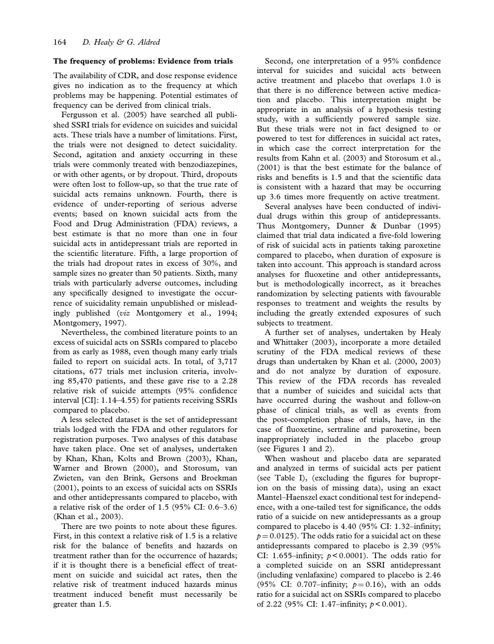## The frequency of problems: Evidence from trials

The availability of CDR, and dose response evidence gives no indication as to the frequency at which problems may be happening. Potential estimates of frequency can be derived from clinical trials.

Fergusson et al. (2005) have searched all published SSRI trials for evidence on suicides and suicidal acts. These trials have a number of limitations. First, the trials were not designed to detect suicidality. Second, agitation and anxiety occurring in these trials were commonly treated with benzodiazepines, or with other agents, or by dropout. Third, dropouts were often lost to follow-up, so that the true rate of suicidal acts remains unknown. Fourth, there is evidence of under-reporting of serious adverse events; based on known suicidal acts from the Food and Drug Administration (FDA) reviews, a best estimate is that no more than one in four suicidal acts in antidepressant trials are reported in the scientific literature. Fifth, a large proportion of the trials had dropout rates in excess of 30%, and sample sizes no greater than 50 patients. Sixth, many trials with particularly adverse outcomes, including any specifically designed to investigate the occurrence of suicidality remain unpublished or misleadingly published (viz Montgomery et al., 1994; Montgomery, 1997).

Nevertheless, the combined literature points to an excess of suicidal acts on SSRIs compared to placebo from as early as 1988, even though many early trials failed to report on suicidal acts. In total, of 3,717 citations, 677 trials met inclusion criteria, involving 85,470 patients, and these gave rise to a 2.28 relative risk of suicide attempts (95% confidence interval [CI]: 1.14–4.55) for patients receiving SSRIs compared to placebo.

A less selected dataset is the set of antidepressant trials lodged with the FDA and other regulators for registration purposes. Two analyses of this database have taken place. One set of analyses, undertaken by Khan, Khan, Kolts and Brown (2003), Khan, Warner and Brown (2000), and Storosum, van Zwieten, van den Brink, Gersons and Broekman (2001), points to an excess of suicidal acts on SSRIs and other antidepressants compared to placebo, with a relative risk of the order of 1.5 (95% CI: 0.6–3.6) (Khan et al., 2003).

There are two points to note about these figures. First, in this context a relative risk of 1.5 is a relative risk for the balance of benefits and hazards on treatment rather than for the occurrence of hazards; if it is thought there is a beneficial effect of treatment on suicide and suicidal act rates, then the relative risk of treatment induced hazards minus treatment induced benefit must necessarily be greater than 1.5.

Second, one interpretation of a 95% confidence interval for suicides and suicidal acts between active treatment and placebo that overlaps 1.0 is that there is no difference between active medication and placebo. This interpretation might be appropriate in an analysis of a hypothesis testing study, with a sufficiently powered sample size. But these trials were not in fact designed to or powered to test for differences in suicidal act rates, in which case the correct interpretation for the results from Kahn et al. (2003) and Storosum et al., (2001) is that the best estimate for the balance of risks and benefits is 1.5 and that the scientific data is consistent with a hazard that may be occurring up 3.6 times more frequently on active treatment.

Several analyses have been conducted of individual drugs within this group of antidepressants. Thus Montgomery, Dunner & Dunbar (1995) claimed that trial data indicated a five-fold lowering of risk of suicidal acts in patients taking paroxetine compared to placebo, when duration of exposure is taken into account. This approach is standard across analyses for fluoxetine and other antidepressants, but is methodologically incorrect, as it breaches randomization by selecting patients with favourable responses to treatment and weights the results by including the greatly extended exposures of such subjects to treatment.

A further set of analyses, undertaken by Healy and Whittaker (2003), incorporate a more detailed scrutiny of the FDA medical reviews of these drugs than undertaken by Khan et al. (2000, 2003) and do not analyze by duration of exposure. This review of the FDA records has revealed that a number of suicides and suicidal acts that have occurred during the washout and follow-on phase of clinical trials, as well as events from the post-completion phase of trials, have, in the case of fluoxetine, sertraline and paroxetine, been inappropriately included in the placebo group (see Figures 1 and 2).

When washout and placebo data are separated and analyzed in terms of suicidal acts per patient (see Table I), (excluding the figures for buproprion on the basis of missing data), using an exact Mantel–Haenszel exact conditional test for independence, with a one-tailed test for significance, the odds ratio of a suicide on new antidepressants as a group compared to placebo is 4.40 (95% CI: 1.32–infinity;  $p = 0.0125$ . The odds ratio for a suicidal act on these antidepressants compared to placebo is 2.39 (95% CI: 1.655–infinity;  $p < 0.0001$ ). The odds ratio for a completed suicide on an SSRI antidepressant (including venlafaxine) compared to placebo is 2.46 (95% CI: 0.707–infinity;  $p=0.16$ ), with an odds ratio for a suicidal act on SSRIs compared to placebo of 2.22 (95% CI: 1.47–infinity;  $p < 0.001$ ).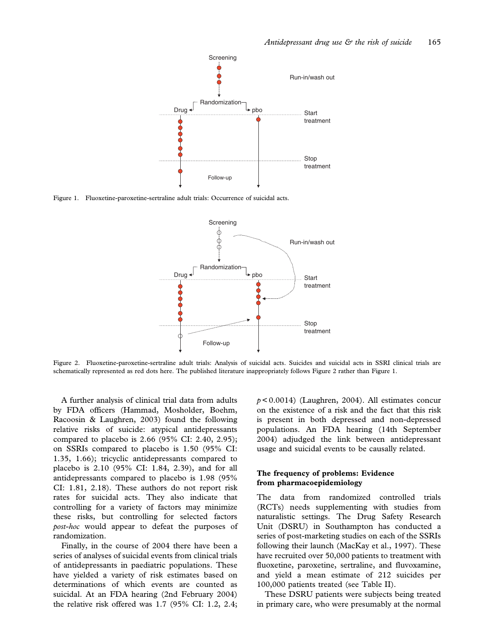

Figure 1. Fluoxetine-paroxetine-sertraline adult trials: Occurrence of suicidal acts.



Figure 2. Fluoxetine-paroxetine-sertraline adult trials: Analysis of suicidal acts. Suicides and suicidal acts in SSRI clinical trials are schematically represented as red dots here. The published literature inappropriately follows Figure 2 rather than Figure 1.

A further analysis of clinical trial data from adults by FDA officers (Hammad, Mosholder, Boehm, Racoosin & Laughren, 2003) found the following relative risks of suicide: atypical antidepressants compared to placebo is 2.66 (95% CI: 2.40, 2.95); on SSRIs compared to placebo is 1.50 (95% CI: 1.35, 1.66); tricyclic antidepressants compared to placebo is 2.10 (95% CI: 1.84, 2.39), and for all antidepressants compared to placebo is 1.98 (95% CI: 1.81, 2.18). These authors do not report risk rates for suicidal acts. They also indicate that controlling for a variety of factors may minimize these risks, but controlling for selected factors post-hoc would appear to defeat the purposes of randomization.

Finally, in the course of 2004 there have been a series of analyses of suicidal events from clinical trials of antidepressants in paediatric populations. These have yielded a variety of risk estimates based on determinations of which events are counted as suicidal. At an FDA hearing (2nd February 2004) the relative risk offered was 1.7 (95% CI: 1.2, 2.4;  $p < 0.0014$ ) (Laughren, 2004). All estimates concur on the existence of a risk and the fact that this risk is present in both depressed and non-depressed populations. An FDA hearing (14th September 2004) adjudged the link between antidepressant usage and suicidal events to be causally related.

## The frequency of problems: Evidence from pharmacoepidemiology

The data from randomized controlled trials (RCTs) needs supplementing with studies from naturalistic settings. The Drug Safety Research Unit (DSRU) in Southampton has conducted a series of post-marketing studies on each of the SSRIs following their launch (MacKay et al., 1997). These have recruited over 50,000 patients to treatment with fluoxetine, paroxetine, sertraline, and fluvoxamine, and yield a mean estimate of 212 suicides per 100,000 patients treated (see Table II).

These DSRU patients were subjects being treated in primary care, who were presumably at the normal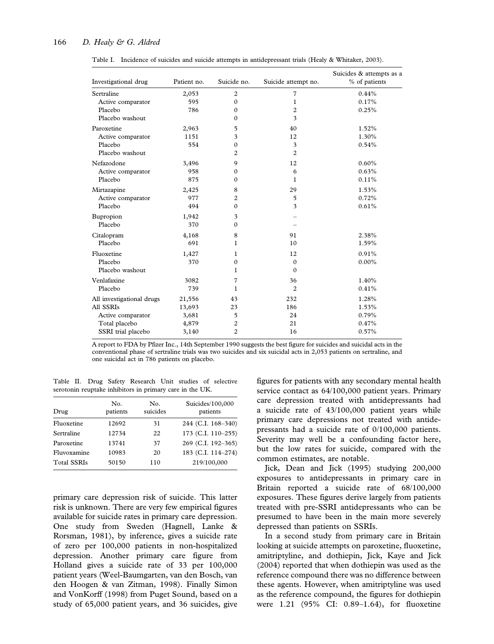### 166 D. Healy & G. Aldred

|  | Table I. Incidence of suicides and suicide attempts in antidepressant trials (Healy & Whitaker, 2003). |  |  |  |  |  |  |
|--|--------------------------------------------------------------------------------------------------------|--|--|--|--|--|--|
|--|--------------------------------------------------------------------------------------------------------|--|--|--|--|--|--|

| Investigational drug      | Patient no. | Suicide no.    | Suicide attempt no. | Suicides & attempts as a<br>% of patients |
|---------------------------|-------------|----------------|---------------------|-------------------------------------------|
| Sertraline                | 2,053       | $\overline{2}$ | 7                   | 0.44%                                     |
| Active comparator         | 595         | $\Omega$       | 1                   | 0.17%                                     |
| Placebo                   | 786         | $\mathbf{0}$   | $\overline{c}$      | 0.25%                                     |
| Placebo washout           |             | $\Omega$       | 3                   |                                           |
| Paroxetine                | 2,963       | 5              | 40                  | 1.52%                                     |
| Active comparator         | 1151        | 3              | 12                  | 1.30%                                     |
| Placebo                   | 554         | $\mathbf{0}$   | 3                   | 0.54%                                     |
| Placebo washout           |             | 2              | $\overline{c}$      |                                           |
| Nefazodone                | 3,496       | 9              | 12                  | 0.60%                                     |
| Active comparator         | 958         | $\mathbf{0}$   | 6                   | 0.63%                                     |
| Placebo                   | 875         | $\Omega$       | 1                   | 0.11%                                     |
| Mirtazapine               | 2,425       | 8              | 29                  | 1.53%                                     |
| Active comparator         | 977         | 2              | 5                   | 0.72%                                     |
| Placebo                   | 494         | $\Omega$       | 3                   | 0.61%                                     |
| Bupropion                 | 1,942       | 3              |                     |                                           |
| Placebo                   | 370         | $\mathbf{0}$   |                     |                                           |
| Citalopram                | 4,168       | 8              | 91                  | 2.38%                                     |
| Placebo                   | 691         | 1              | 10                  | 1.59%                                     |
| Fluoxetine                | 1,427       | 1              | 12                  | 0.91%                                     |
| Placebo                   | 370         | $\mathbf{0}$   | $\mathbf{0}$        | $0.00\%$                                  |
| Placebo washout           |             | 1              | $\Omega$            |                                           |
| Venlafaxine               | 3082        | 7              | 36                  | 1.40%                                     |
| Placebo                   | 739         | 1              | $\overline{c}$      | 0.41%                                     |
| All investigational drugs | 21,556      | 43             | 232                 | 1.28%                                     |
| All SSRIs                 | 13,693      | 23             | 186                 | 1.53%                                     |
| Active comparator         | 3,681       | 5              | 24                  | 0.79%                                     |
| Total placebo             | 4,879       | 2              | 21                  | 0.47%                                     |
| SSRI trial placebo        | 3,140       | $\overline{c}$ | 16                  | 0.57%                                     |

A report to FDA by Pfizer Inc., 14th September 1990 suggests the best figure for suicides and suicidal acts in the conventional phase of sertraline trials was two suicides and six suicidal acts in 2,053 patients on sertraline, and one suicidal act in 786 patients on placebo.

Table II. Drug Safety Research Unit studies of selective serotonin reuptake inhibitors in primary care in the UK.

| Drug               | No.<br>patients | No.<br>suicides | Suicides/100,000<br>patients |  |  |
|--------------------|-----------------|-----------------|------------------------------|--|--|
| Fluoxetine         | 12692           | 31              | 244 (C.I. 168–340)           |  |  |
| Sertraline         | 12734           | 22              | 173 (C.I. $110-255$ )        |  |  |
| Paroxetine         | 13741           | 37              | 269 (C.I. 192-365)           |  |  |
| Fluvoxamine        | 10983           | 20              | 183 (C.I. 114-274)           |  |  |
| <b>Total SSRIs</b> | 50150           | 110             | 219/100,000                  |  |  |

primary care depression risk of suicide. This latter risk is unknown. There are very few empirical figures available for suicide rates in primary care depression. One study from Sweden (Hagnell, Lanke & Rorsman, 1981), by inference, gives a suicide rate of zero per 100,000 patients in non-hospitalized depression. Another primary care figure from Holland gives a suicide rate of 33 per 100,000 patient years (Weel-Baumgarten, van den Bosch, van den Hoogen & van Zitman, 1998). Finally Simon and VonKorff (1998) from Puget Sound, based on a study of 65,000 patient years, and 36 suicides, give figures for patients with any secondary mental health service contact as 64/100,000 patient years. Primary care depression treated with antidepressants had a suicide rate of 43/100,000 patient years while primary care depressions not treated with antidepressants had a suicide rate of 0/100,000 patients. Severity may well be a confounding factor here, but the low rates for suicide, compared with the common estimates, are notable.

Jick, Dean and Jick (1995) studying 200,000 exposures to antidepressants in primary care in Britain reported a suicide rate of 68/100,000 exposures. These figures derive largely from patients treated with pre-SSRI antidepressants who can be presumed to have been in the main more severely depressed than patients on SSRIs.

In a second study from primary care in Britain looking at suicide attempts on paroxetine, fluoxetine, amitriptyline, and dothiepin, Jick, Kaye and Jick (2004) reported that when dothiepin was used as the reference compound there was no difference between these agents. However, when amitriptyline was used as the reference compound, the figures for dothiepin were 1.21 (95% CI: 0.89–1.64), for fluoxetine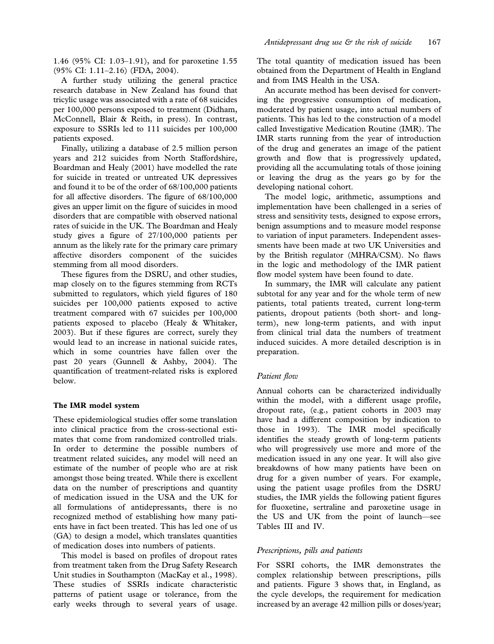1.46 (95% CI: 1.03–1.91), and for paroxetine 1.55 (95% CI: 1.11–2.16) (FDA, 2004).

A further study utilizing the general practice research database in New Zealand has found that tricylic usage was associated with a rate of 68 suicides per 100,000 persons exposed to treatment (Didham, McConnell, Blair & Reith, in press). In contrast, exposure to SSRIs led to 111 suicides per 100,000 patients exposed.

Finally, utilizing a database of 2.5 million person years and 212 suicides from North Staffordshire, Boardman and Healy (2001) have modelled the rate for suicide in treated or untreated UK depressives and found it to be of the order of 68/100,000 patients for all affective disorders. The figure of 68/100,000 gives an upper limit on the figure of suicides in mood disorders that are compatible with observed national rates of suicide in the UK. The Boardman and Healy study gives a figure of 27/100,000 patients per annum as the likely rate for the primary care primary affective disorders component of the suicides stemming from all mood disorders.

These figures from the DSRU, and other studies, map closely on to the figures stemming from RCTs submitted to regulators, which yield figures of 180 suicides per 100,000 patients exposed to active treatment compared with 67 suicides per 100,000 patients exposed to placebo (Healy & Whitaker, 2003). But if these figures are correct, surely they would lead to an increase in national suicide rates, which in some countries have fallen over the past 20 years (Gunnell & Ashby, 2004). The quantification of treatment-related risks is explored below.

## The IMR model system

These epidemiological studies offer some translation into clinical practice from the cross-sectional estimates that come from randomized controlled trials. In order to determine the possible numbers of treatment related suicides, any model will need an estimate of the number of people who are at risk amongst those being treated. While there is excellent data on the number of prescriptions and quantity of medication issued in the USA and the UK for all formulations of antidepressants, there is no recognized method of establishing how many patients have in fact been treated. This has led one of us (GA) to design a model, which translates quantities of medication doses into numbers of patients.

This model is based on profiles of dropout rates from treatment taken from the Drug Safety Research Unit studies in Southampton (MacKay et al., 1998). These studies of SSRIs indicate characteristic patterns of patient usage or tolerance, from the early weeks through to several years of usage.

The total quantity of medication issued has been obtained from the Department of Health in England and from IMS Health in the USA.

An accurate method has been devised for converting the progressive consumption of medication, moderated by patient usage, into actual numbers of patients. This has led to the construction of a model called Investigative Medication Routine (IMR). The IMR starts running from the year of introduction of the drug and generates an image of the patient growth and flow that is progressively updated, providing all the accumulating totals of those joining or leaving the drug as the years go by for the developing national cohort.

The model logic, arithmetic, assumptions and implementation have been challenged in a series of stress and sensitivity tests, designed to expose errors, benign assumptions and to measure model response to variation of input parameters. Independent assessments have been made at two UK Universities and by the British regulator (MHRA/CSM). No flaws in the logic and methodology of the IMR patient flow model system have been found to date.

In summary, the IMR will calculate any patient subtotal for any year and for the whole term of new patients, total patients treated, current long-term patients, dropout patients (both short- and longterm), new long-term patients, and with input from clinical trial data the numbers of treatment induced suicides. A more detailed description is in preparation.

## Patient flow

Annual cohorts can be characterized individually within the model, with a different usage profile, dropout rate, (e.g., patient cohorts in 2003 may have had a different composition by indication to those in 1993). The IMR model specifically identifies the steady growth of long-term patients who will progressively use more and more of the medication issued in any one year. It will also give breakdowns of how many patients have been on drug for a given number of years. For example, using the patient usage profiles from the DSRU studies, the IMR yields the following patient figures for fluoxetine, sertraline and paroxetine usage in the US and UK from the point of launch—see Tables III and IV.

## Prescriptions, pills and patients

For SSRI cohorts, the IMR demonstrates the complex relationship between prescriptions, pills and patients. Figure 3 shows that, in England, as the cycle develops, the requirement for medication increased by an average 42 million pills or doses/year;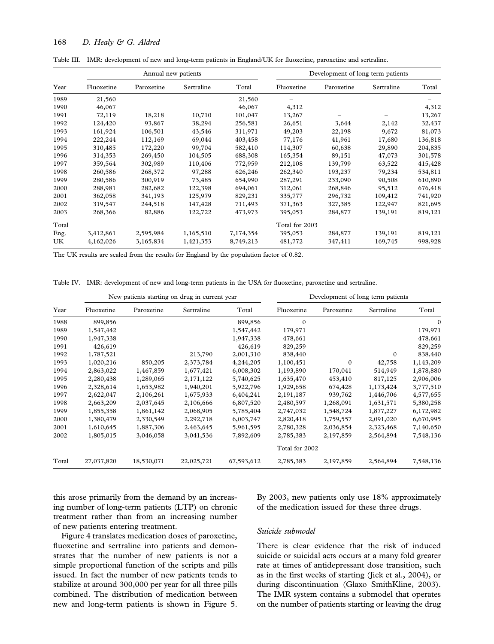|           | Annual new patients |            |            |           | Development of long term patients |            |            |         |  |
|-----------|---------------------|------------|------------|-----------|-----------------------------------|------------|------------|---------|--|
| Year      | Fluoxetine          | Paroxetine | Sertraline | Total     | Fluoxetine                        | Paroxetine | Sertraline | Total   |  |
| 1989      | 21,560              |            |            | 21,560    |                                   |            |            |         |  |
| 1990      | 46,067              |            |            | 46,067    | 4,312                             |            |            | 4,312   |  |
| 1991      | 72,119              | 18,218     | 10,710     | 101,047   | 13,267                            |            |            | 13,267  |  |
| 1992      | 124,420             | 93,867     | 38,294     | 256,581   | 26,651                            | 3,644      | 2,142      | 32,437  |  |
| 1993      | 161,924             | 106,501    | 43,546     | 311,971   | 49,203                            | 22,198     | 9,672      | 81,073  |  |
| 1994      | 222,244             | 112,169    | 69,044     | 403,458   | 77,176                            | 41,961     | 17,680     | 136,818 |  |
| 1995      | 310,485             | 172,220    | 99,704     | 582,410   | 114,307                           | 60,638     | 29,890     | 204,835 |  |
| 1996      | 314,353             | 269,450    | 104,505    | 688,308   | 165,354                           | 89,151     | 47,073     | 301,578 |  |
| 1997      | 359,564             | 302,989    | 110,406    | 772,959   | 212,108                           | 139,799    | 63,522     | 415,428 |  |
| 1998      | 260,586             | 268,372    | 97,288     | 626,246   | 262,340                           | 193,237    | 79,234     | 534,811 |  |
| 1999      | 280,586             | 300,919    | 73,485     | 654,990   | 287,291                           | 233,090    | 90,508     | 610,890 |  |
| 2000      | 288,981             | 282,682    | 122,398    | 694,061   | 312,061                           | 268,846    | 95,512     | 676,418 |  |
| 2001      | 362,058             | 341,193    | 125,979    | 829,231   | 335,777                           | 296,732    | 109,412    | 741,920 |  |
| 2002      | 319,547             | 244,518    | 147,428    | 711,493   | 371,363                           | 327,385    | 122,947    | 821,695 |  |
| 2003      | 268,366             | 82,886     | 122,722    | 473,973   | 395,053                           | 284,877    | 139,191    | 819,121 |  |
| Total     |                     |            |            |           | Total for 2003                    |            |            |         |  |
| Eng.      | 3,412,861           | 2,595,984  | 1,165,510  | 7,174,354 | 395,053                           | 284,877    | 139,191    | 819,121 |  |
| <b>UK</b> | 4,162,026           | 3,165,834  | 1,421,353  | 8,749,213 | 481,772                           | 347,411    | 169,745    | 998,928 |  |

Table III. IMR: development of new and long-term patients in England/UK for fluoxetine, paroxetine and sertraline.

The UK results are scaled from the results for England by the population factor of 0.82.

Table IV. IMR: development of new and long-term patients in the USA for fluoxetine, paroxetine and sertraline.

|       | New patients starting on drug in current year |            |            |            | Development of long term patients |              |            |           |
|-------|-----------------------------------------------|------------|------------|------------|-----------------------------------|--------------|------------|-----------|
| Year  | Fluoxetine                                    | Paroxetine | Sertraline | Total      | Fluoxetine                        | Paroxetine   | Sertraline | Total     |
| 1988  | 899,856                                       |            |            | 899,856    | $\mathbf{0}$                      |              |            | $\Omega$  |
| 1989  | 1,547,442                                     |            |            | 1,547,442  | 179,971                           |              |            | 179,971   |
| 1990  | 1,947,338                                     |            |            | 1,947,338  | 478,661                           |              |            | 478,661   |
| 1991  | 426,619                                       |            |            | 426,619    | 829,259                           |              |            | 829,259   |
| 1992  | 1,787,521                                     |            | 213,790    | 2,001,310  | 838,440                           |              | $\Omega$   | 838,440   |
| 1993  | 1,020,216                                     | 850,205    | 2,373,784  | 4,244,205  | 1,100,451                         | $\mathbf{0}$ | 42,758     | 1,143,209 |
| 1994  | 2,863,022                                     | 1,467,859  | 1,677,421  | 6,008,302  | 1,193,890                         | 170,041      | 514,949    | 1,878,880 |
| 1995  | 2,280,438                                     | 1,289,065  | 2,171,122  | 5,740,625  | 1,635,470                         | 453,410      | 817,125    | 2,906,006 |
| 1996  | 2,328,614                                     | 1,653,982  | 1,940,201  | 5,922,796  | 1,929,658                         | 674,428      | 1,173,424  | 3,777,510 |
| 1997  | 2,622,047                                     | 2,106,261  | 1,675,933  | 6,404,241  | 2,191,187                         | 939,762      | 1,446,706  | 4,577,655 |
| 1998  | 2,663,209                                     | 2,037,645  | 2,106,666  | 6,807,520  | 2,480,597                         | 1,268,091    | 1,631,571  | 5,380,258 |
| 1999  | 1,855,358                                     | 1,861,142  | 2,068,905  | 5,785,404  | 2,747,032                         | 1,548,724    | 1,877,227  | 6,172,982 |
| 2000  | 1,380,479                                     | 2,330,549  | 2,292,718  | 6,003,747  | 2,820,418                         | 1,759,557    | 2,091,020  | 6,670,995 |
| 2001  | 1,610,645                                     | 1,887,306  | 2,463,645  | 5,961,595  | 2,780,328                         | 2,036,854    | 2,323,468  | 7,140,650 |
| 2002  | 1,805,015                                     | 3,046,058  | 3,041,536  | 7,892,609  | 2,785,383                         | 2,197,859    | 2,564,894  | 7,548,136 |
|       |                                               |            |            |            | Total for 2002                    |              |            |           |
| Total | 27,037,820                                    | 18,530,071 | 22,025,721 | 67,593,612 | 2,785,383                         | 2,197,859    | 2,564,894  | 7,548,136 |

this arose primarily from the demand by an increasing number of long-term patients (LTP) on chronic treatment rather than from an increasing number of new patients entering treatment.

By 2003, new patients only use 18% approximately of the medication issued for these three drugs.

# Suicide submodel

Figure 4 translates medication doses of paroxetine, fluoxetine and sertraline into patients and demonstrates that the number of new patients is not a simple proportional function of the scripts and pills issued. In fact the number of new patients tends to stabilize at around 300,000 per year for all three pills combined. The distribution of medication between new and long-term patients is shown in Figure 5.

There is clear evidence that the risk of induced suicide or suicidal acts occurs at a many fold greater rate at times of antidepressant dose transition, such as in the first weeks of starting (Jick et al., 2004), or during discontinuation (Glaxo SmithKline, 2003). The IMR system contains a submodel that operates on the number of patients starting or leaving the drug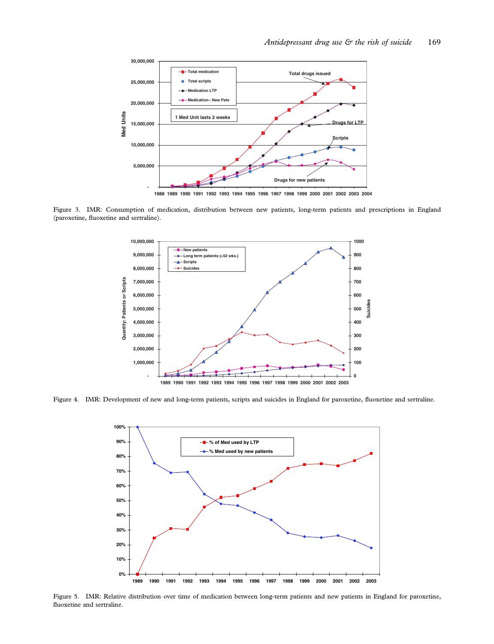

Figure 3. IMR: Consumption of medication, distribution between new patients, long-term patients and prescriptions in England (paroxetine, fluoxetine and sertraline).



Figure 4. IMR: Development of new and long-term patients, scripts and suicides in England for paroxetine, fluoxetine and sertraline.



Figure 5. IMR: Relative distribution over time of medication between long-term patients and new patients in England for paroxetine, fluoxetine and sertraline.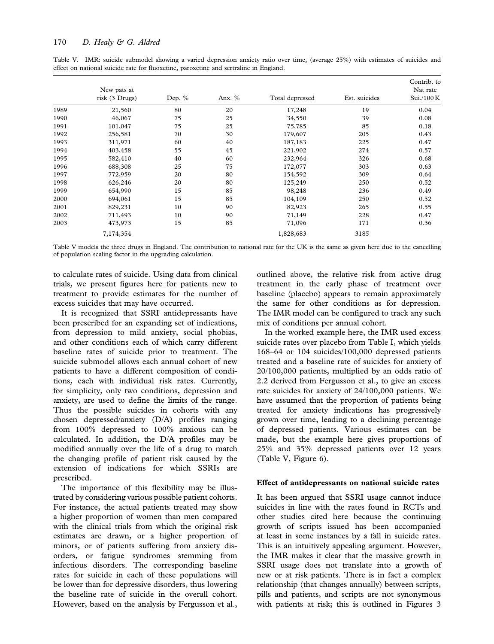|      | New pats at      |          |          |                 |               | Contrib. to<br>Nat rate |
|------|------------------|----------|----------|-----------------|---------------|-------------------------|
|      | $risk$ (3 Drugs) | Dep. $%$ | Anx. $%$ | Total depressed | Est. suicides | Sui./100K               |
| 1989 | 21,560           | 80       | 20       | 17,248          | 19            | 0.04                    |
| 1990 | 46,067           | 75       | 25       | 34,550          | 39            | 0.08                    |
| 1991 | 101,047          | 75       | 25       | 75,785          | 85            | 0.18                    |
| 1992 | 256,581          | 70       | 30       | 179,607         | 205           | 0.43                    |
| 1993 | 311,971          | 60       | 40       | 187,183         | 225           | 0.47                    |
| 1994 | 403,458          | 55       | 45       | 221,902         | 274           | 0.57                    |
| 1995 | 582,410          | 40       | 60       | 232,964         | 326           | 0.68                    |
| 1996 | 688,308          | 25       | 75       | 172,077         | 303           | 0.63                    |
| 1997 | 772,959          | 20       | 80       | 154,592         | 309           | 0.64                    |
| 1998 | 626,246          | 20       | 80       | 125,249         | 250           | 0.52                    |
| 1999 | 654,990          | 15       | 85       | 98,248          | 236           | 0.49                    |
| 2000 | 694,061          | 15       | 85       | 104,109         | 250           | 0.52                    |
| 2001 | 829,231          | 10       | 90       | 82,923          | 265           | 0.55                    |
| 2002 | 711,493          | 10       | 90       | 71,149          | 228           | 0.47                    |
| 2003 | 473,973          | 15       | 85       | 71,096          | 171           | 0.36                    |
|      | 7,174,354        |          |          | 1,828,683       | 3185          |                         |

Table V. IMR: suicide submodel showing a varied depression anxiety ratio over time, (average 25%) with estimates of suicides and effect on national suicide rate for fluoxetine, paroxetine and sertraline in England.

Table V models the three drugs in England. The contribution to national rate for the UK is the same as given here due to the cancelling of population scaling factor in the upgrading calculation.

to calculate rates of suicide. Using data from clinical trials, we present figures here for patients new to treatment to provide estimates for the number of excess suicides that may have occurred.

It is recognized that SSRI antidepressants have been prescribed for an expanding set of indications, from depression to mild anxiety, social phobias, and other conditions each of which carry different baseline rates of suicide prior to treatment. The suicide submodel allows each annual cohort of new patients to have a different composition of conditions, each with individual risk rates. Currently, for simplicity, only two conditions, depression and anxiety, are used to define the limits of the range. Thus the possible suicides in cohorts with any chosen depressed/anxiety (D/A) profiles ranging from 100% depressed to 100% anxious can be calculated. In addition, the D/A profiles may be modified annually over the life of a drug to match the changing profile of patient risk caused by the extension of indications for which SSRIs are prescribed.

The importance of this flexibility may be illustrated by considering various possible patient cohorts. For instance, the actual patients treated may show a higher proportion of women than men compared with the clinical trials from which the original risk estimates are drawn, or a higher proportion of minors, or of patients suffering from anxiety disorders, or fatigue syndromes stemming from infectious disorders. The corresponding baseline rates for suicide in each of these populations will be lower than for depressive disorders, thus lowering the baseline rate of suicide in the overall cohort. However, based on the analysis by Fergusson et al., outlined above, the relative risk from active drug treatment in the early phase of treatment over baseline (placebo) appears to remain approximately the same for other conditions as for depression. The IMR model can be configured to track any such mix of conditions per annual cohort.

In the worked example here, the IMR used excess suicide rates over placebo from Table I, which yields 168–64 or 104 suicides/100,000 depressed patients treated and a baseline rate of suicides for anxiety of 20/100,000 patients, multiplied by an odds ratio of 2.2 derived from Fergusson et al., to give an excess rate suicides for anxiety of 24/100,000 patients. We have assumed that the proportion of patients being treated for anxiety indications has progressively grown over time, leading to a declining percentage of depressed patients. Various estimates can be made, but the example here gives proportions of 25% and 35% depressed patients over 12 years (Table V, Figure 6).

## Effect of antidepressants on national suicide rates

It has been argued that SSRI usage cannot induce suicides in line with the rates found in RCTs and other studies cited here because the continuing growth of scripts issued has been accompanied at least in some instances by a fall in suicide rates. This is an intuitively appealing argument. However, the IMR makes it clear that the massive growth in SSRI usage does not translate into a growth of new or at risk patients. There is in fact a complex relationship (that changes annually) between scripts, pills and patients, and scripts are not synonymous with patients at risk; this is outlined in Figures 3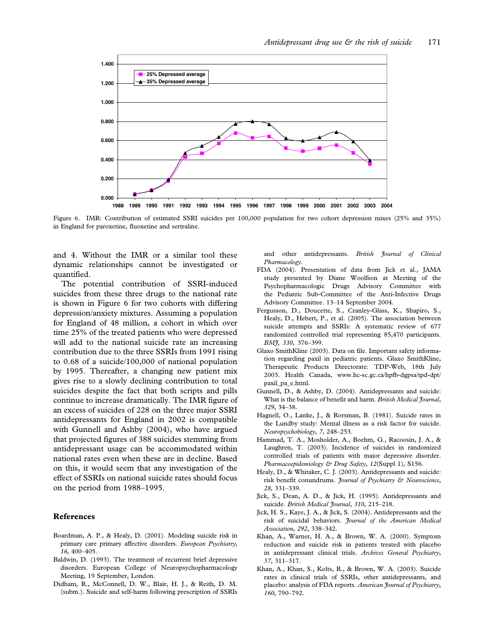

Figure 6. IMR: Contribution of estimated SSRI suicides per 100,000 population for two cohort depression mixes (25% and 35%) in England for paroxetine, fluoxetine and sertraline.

and 4. Without the IMR or a similar tool these dynamic relationships cannot be investigated or quantified.

The potential contribution of SSRI-induced suicides from these three drugs to the national rate is shown in Figure 6 for two cohorts with differing depression/anxiety mixtures. Assuming a population for England of 48 million, a cohort in which over time 25% of the treated patients who were depressed will add to the national suicide rate an increasing contribution due to the three SSRIs from 1991 rising to 0.68 of a suicide/100,000 of national population by 1995. Thereafter, a changing new patient mix gives rise to a slowly declining contribution to total suicides despite the fact that both scripts and pills continue to increase dramatically. The IMR figure of an excess of suicides of 228 on the three major SSRI antidepressants for England in 2002 is compatible with Gunnell and Ashby (2004), who have argued that projected figures of 388 suicides stemming from antidepressant usage can be accommodated within national rates even when these are in decline. Based on this, it would seem that any investigation of the effect of SSRIs on national suicide rates should focus on the period from 1988–1995.

#### References

- Boardman, A. P., & Healy, D. (2001). Modeling suicide risk in primary care primary affective disorders. European Psychiatry, 16, 400–405.
- Baldwin, D. (1993). The treatment of recurrent brief depressive disorders. European College of Neuropsychopharmacology Meeting, 19 September, London.
- Didham, R., McConnell, D. W., Blair, H. J., & Reith, D. M. (subm.). Suicide and self-harm following prescription of SSRIs

and other antidepressants. British Journal of Clinical Pharmacology.

- FDA (2004). Presentation of data from Jick et al., JAMA study presented by Diane Woolfson at Meeting of the Psychopharmacologic Drugs Advisory Committee with the Pediatric Sub-Committee of the Anti-Infective Drugs Advisory Committee. 13–14 September 2004.
- Fergusson, D., Doucette, S., Cranley-Glass, K., Shapiro, S., Healy, D., Hebert, P., et al. (2005). The association between suicide attempts and SSRIs: A systematic review of 677 randomized controlled trial representing 85,470 participants. BMJ, 330, 376–399.
- Glaxo SmithKline (2003). Data on file. Important safety information regarding paxil in pediatric patients. Glaxo SmithKline, Therapeutic Products Directorate: TDP-Web, 18th July 2003. Health Canada, www.hc-sc.gc.ca/hpfb-dgpsa/tpd-dpt/ paxil\_pa\_e.html.
- Gunnell, D., & Ashby, D. (2004). Antidepressants and suicide: What is the balance of benefit and harm. British Medical Journal, 329, 34–38.
- Hagnell, O., Lanke, J., & Rorsman, B. (1981). Suicide rates in the Lundby study: Mental illness as a risk factor for suicide. Neuropsychobiology, 7, 248–253.
- Hammad, T. A., Mosholder, A., Boehm, G., Racoosin, J. A., & Laughren, T. (2003). Incidence of suicides in randomized controlled trials of patients with major depressive disorder. Pharmacoepidemiology & Drug Safety, 12(Suppl 1), S156.
- Healy, D., & Whitaker, C. J. (2003). Antidepressants and suicide: risk benefit conundrums. Journal of Psychiatry & Neuroscience, 28, 331–339.
- Jick, S., Dean, A. D., & Jick, H. (1995). Antidepressants and suicide. British Medical Journal, 310, 215-218.
- Jick, H. S., Kaye, J. A., & Jick, S. (2004). Antidepressants and the risk of suicidal behaviors. Journal of the American Medical Association, 292, 338–342.
- Khan, A., Warner, H. A., & Brown, W. A. (2000). Symptom reduction and suicide risk in patients treated with placebo in antidepressant clinical trials. Archives General Psychiatry, 57, 311–317.
- Khan, A., Khan, S., Kolts, R., & Brown, W. A. (2003). Suicide rates in clinical trials of SSRIs, other antidepressants, and placebo: analysis of FDA reports. American Journal of Psychiatry, 160, 790–792.